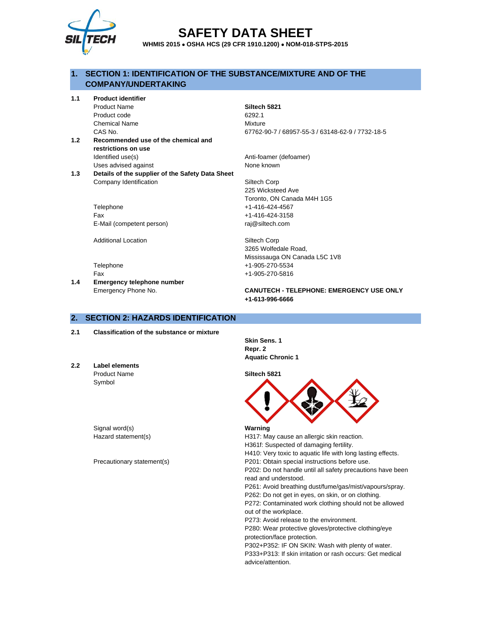

# **SAFETY DATA SHEET**

**WHMIS 2015** • **OSHA HCS (29 CFR 1910.1200)** • **NOM-018-STPS-2015**

# **1. SECTION 1: IDENTIFICATION OF THE SUBSTANCE/MIXTURE AND OF THE COMPANY/UNDERTAKING**

**1.1 Product identifier**

Product Name **Siltech 5821** Product code 6292.1 Chemical Name Mixture

- **1.2 Recommended use of the chemical and restrictions on use** Identified use(s) and a set of the Anti-foamer (defoamer) Uses advised against None known
- **1.3 Details of the supplier of the Safety Data Sheet** Company Identification Siltech Corp

Telephone +1-416-424-4567 Fax +1-416-424-3158 E-Mail (competent person) raj@siltech.com

Additional Location **Siltech Corp** 

**1.4 Emergency telephone number**

CAS No. 67762-90-7 / 68957-55-3 / 63148-62-9 / 7732-18-5

225 Wicksteed Ave Toronto, ON Canada M4H 1G5

3265 Wolfedale Road, Mississauga ON Canada L5C 1V8 Telephone +1-905-270-5534 Fax +1-905-270-5816

Emergency Phone No. **CANUTECH - TELEPHONE: EMERGENCY USE ONLY +1-613-996-6666**

# **2. SECTION 2: HAZARDS IDENTIFICATION**

- **2.1 Classification of the substance or mixture**
- **2.2 Label elements** Product Name **Siltech 5821** Symbol

Signal word(s) **Warning**

**Skin Sens. 1 Repr. 2 Aquatic Chronic 1**



Hazard statement(s) https://www.may 217: May cause an allergic skin reaction. H361f: Suspected of damaging fertility.

H410: Very toxic to aquatic life with long lasting effects.

Precautionary statement(s) example and the P201: Obtain special instructions before use. P202: Do not handle until all safety precautions have been

read and understood.

P261: Avoid breathing dust/fume/gas/mist/vapours/spray.

P262: Do not get in eyes, on skin, or on clothing. P272: Contaminated work clothing should not be allowed

out of the workplace.

P273: Avoid release to the environment.

P280: Wear protective gloves/protective clothing/eye protection/face protection.

P302+P352: IF ON SKIN: Wash with plenty of water.

P333+P313: If skin irritation or rash occurs: Get medical advice/attention.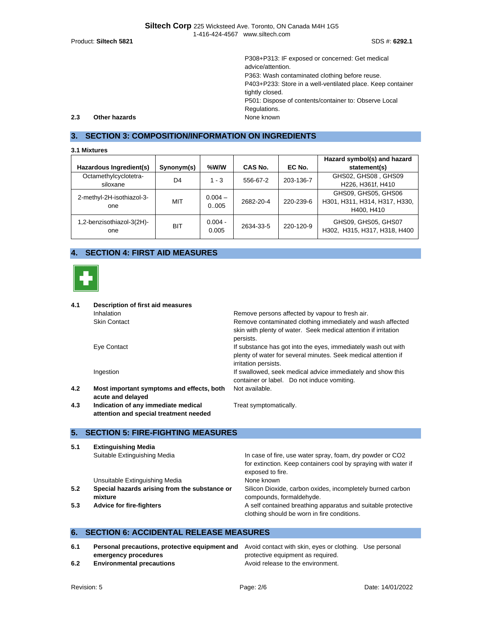|     |               | P308+P313: IF exposed or concerned: Get medical             |
|-----|---------------|-------------------------------------------------------------|
|     |               | advice/attention.                                           |
|     |               | P363: Wash contaminated clothing before reuse.              |
|     |               | P403+P233: Store in a well-ventilated place. Keep container |
|     |               | tightly closed.                                             |
|     |               | P501: Dispose of contents/container to: Observe Local       |
|     |               | Regulations.                                                |
| 2.3 | Other hazards | None known                                                  |
|     |               |                                                             |

# **3. SECTION 3: COMPOSITION/INFORMATION ON INGREDIENTS**

#### **3.1 Mixtures**

|                                  |            |                    |           |           | Hazard symbol(s) and hazard                         |
|----------------------------------|------------|--------------------|-----------|-----------|-----------------------------------------------------|
| Hazardous Ingredient(s)          | Synonym(s) | %W/W               | CAS No.   | EC No.    | statement(s)                                        |
| Octamethylcyclotetra-            | D4         | $1 - 3$            | 556-67-2  | 203-136-7 | GHS02, GHS08, GHS09                                 |
| siloxane                         |            |                    |           |           | H226, H361f, H410                                   |
| 2-methyl-2H-isothiazol-3-        |            | $0.004 -$          |           |           | GHS09, GHS05, GHS06                                 |
| one                              | MIT        | 0.005              | 2682-20-4 | 220-239-6 | H301, H311, H314, H317, H330,                       |
|                                  |            |                    |           |           | H400, H410                                          |
| 1,2-benzisothiazol-3(2H)-<br>one | <b>BIT</b> | $0.004 -$<br>0.005 | 2634-33-5 | 220-120-9 | GHS09, GHS05, GHS07<br>H302, H315, H317, H318, H400 |

# **4. SECTION 4: FIRST AID MEASURES**



| 4.1 | Description of first aid measures                                             |                                                                                                                                                         |  |  |  |
|-----|-------------------------------------------------------------------------------|---------------------------------------------------------------------------------------------------------------------------------------------------------|--|--|--|
|     | <b>Inhalation</b>                                                             | Remove persons affected by vapour to fresh air.                                                                                                         |  |  |  |
|     | <b>Skin Contact</b>                                                           | Remove contaminated clothing immediately and wash affected<br>skin with plenty of water. Seek medical attention if irritation<br>persists.              |  |  |  |
|     | Eye Contact                                                                   | If substance has got into the eyes, immediately wash out with<br>plenty of water for several minutes. Seek medical attention if<br>irritation persists. |  |  |  |
|     | Ingestion                                                                     | If swallowed, seek medical advice immediately and show this<br>container or label. Do not induce vomiting.                                              |  |  |  |
| 4.2 | Most important symptoms and effects, both<br>acute and delayed                | Not available.                                                                                                                                          |  |  |  |
| 4.3 | Indication of any immediate medical<br>attention and special treatment needed | Treat symptomatically.                                                                                                                                  |  |  |  |

# **5. SECTION 5: FIRE-FIGHTING MEASURES**

| 5.1 | <b>Extinguishing Media</b>                               |                                                                                                             |
|-----|----------------------------------------------------------|-------------------------------------------------------------------------------------------------------------|
|     | Suitable Extinguishing Media                             | In case of fire, use water spray, foam, dry powder or CO2                                                   |
|     |                                                          | for extinction. Keep containers cool by spraying with water if<br>exposed to fire.                          |
|     | Unsuitable Extinguishing Media                           | None known                                                                                                  |
| 5.2 | Special hazards arising from the substance or<br>mixture | Silicon Dioxide, carbon oxides, incompletely burned carbon<br>compounds, formaldehyde.                      |
| 5.3 | <b>Advice for fire-fighters</b>                          | A self contained breathing apparatus and suitable protective<br>clothing should be worn in fire conditions. |

# **6. SECTION 6: ACCIDENTAL RELEASE MEASURES**

| 6.1 | <b>Personal precautions, protective equipment and</b> Avoid contact with skin, eyes or clothing. Use personal |                                   |  |
|-----|---------------------------------------------------------------------------------------------------------------|-----------------------------------|--|
|     | emergency procedures                                                                                          | protective equipment as required. |  |
| 6.2 | <b>Environmental precautions</b>                                                                              | Avoid release to the environment. |  |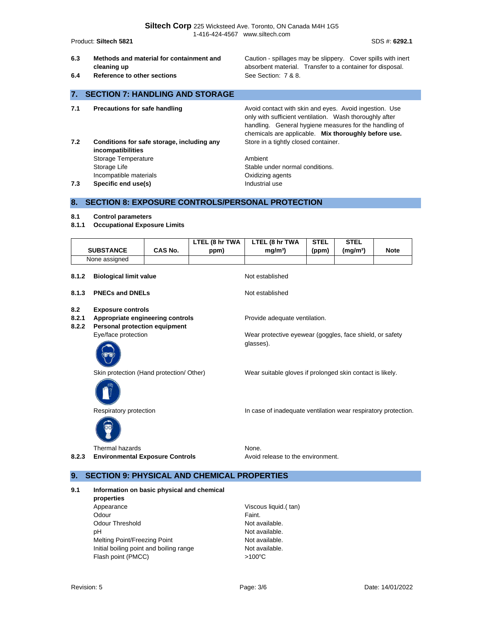**Siltech Corp** 225 Wicksteed Ave. Toronto, ON Canada M4H 1G5 1-416-424-4567 www.siltech.com

Product: **Siltech 5821** SDS #: **6292.1**

- **6.3 Methods and material for containment and cleaning up**
- **6.4 Reference to other sections** See Section: 7 & 8.

Caution - spillages may be slippery. Cover spills with inert absorbent material. Transfer to a container for disposal.

# **7. SECTION 7: HANDLING AND STORAGE 7.1 Precautions for safe handling <b>Avoid Contact** with skin and eyes. Avoid ingestion. Use only with sufficient ventilation. Wash thoroughly after handling. General hygiene measures for the handling of chemicals are applicable. **Mix thoroughly before use. 7.2 Conditions for safe storage, including any incompatibilities** Store in a tightly closed container. Storage Temperature **Ambient** Storage Life Stable under normal conditions. Incompatible materials **Incompatible materials C** and  $\alpha$  **Oxidizing agents 7.3 Specific end use(s) Industrial use 8. SECTION 8: EXPOSURE CONTROLS/PERSONAL PROTECTION**

#### **8.1 Control parameters**

**8.1.1 Occupational Exposure Limits**

|                  |                | LTEL (8 hr TWA | LTEL (8 hr TWA    | STEL  | STEL                 |             |
|------------------|----------------|----------------|-------------------|-------|----------------------|-------------|
| <b>SUBSTANCE</b> | <b>CAS No.</b> | ppm)           | ma/m <sup>3</sup> | (ppm) | (mq/m <sup>3</sup> ) | <b>Note</b> |
| None assigned    |                |                |                   |       |                      |             |

| 8.1.2                 | <b>Biological limit value</b>                                                                                               | Not established                                                                                        |
|-----------------------|-----------------------------------------------------------------------------------------------------------------------------|--------------------------------------------------------------------------------------------------------|
| 8.1.3                 | <b>PNECs and DNELs</b>                                                                                                      | Not established                                                                                        |
| 8.2<br>8.2.1<br>8.2.2 | <b>Exposure controls</b><br>Appropriate engineering controls<br><b>Personal protection equipment</b><br>Eye/face protection | Provide adequate ventilation.<br>Wear protective eyewear (goggles, face shield, or safety<br>glasses). |
|                       | Skin protection (Hand protection/ Other)                                                                                    | Wear suitable gloves if prolonged skin contact is likely.                                              |
|                       | Respiratory protection                                                                                                      | In case of inadequate ventilation wear respiratory protection.                                         |
| 8.2.3                 | Thermal hazards<br><b>Environmental Exposure Controls</b>                                                                   | None.<br>Avoid release to the environment.                                                             |

# **9. SECTION 9: PHYSICAL AND CHEMICAL PROPERTIES**

- **9.1 Information on basic physical and chemical** 
	- **properties** Appearance Viscous liquid.( tan) Odour **Faint.** Odour Threshold Not available. pH Not available. Melting Point/Freezing Point Not available. Initial boiling point and boiling range Not available. Flash point (PMCC)  $>100^{\circ}$ C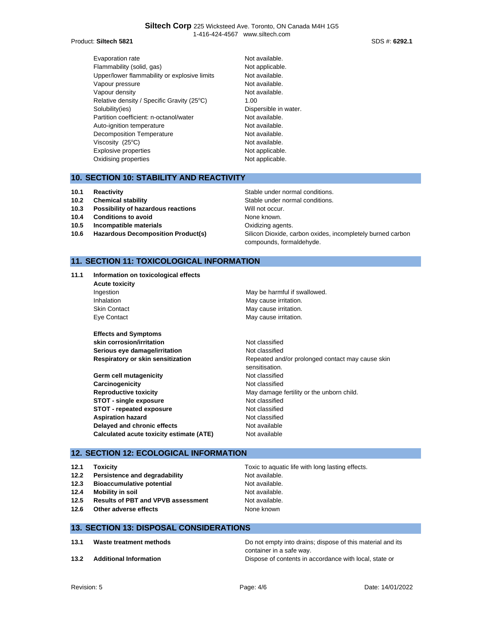#### **Siltech Corp** 225 Wicksteed Ave. Toronto, ON Canada M4H 1G5 1-416-424-4567 www.siltech.com

#### Product: **Siltech 5821** SDS #: **6292.1**

- Evaporation rate **Not available**. Flammability (solid, gas) Not applicable. Upper/lower flammability or explosive limits Not available. Vapour pressure and the Not available. Vapour density and the set of the Not available. Relative density / Specific Gravity (25°C) 1.00 Solubility(ies) **Dispersible in water.** Partition coefficient: n-octanol/water Not available. Auto-ignition temperature Not available. Decomposition Temperature Not available. Viscosity (25°C) and the example of the Not available. Explosive properties Not applicable. Oxidising properties Not applicable.
	-

# **10. SECTION 10: STABILITY AND REACTIVITY**

- 
- 
- **10.3 Possibility of hazardous reactions** Will not occur.
- **10.4 Conditions to avoid** None known.
- **10.5 Incompatible materials 10.5 Oxidizing agents.**
- 

# **10.1 Reactivity 10.1 Reactivity Reactivity Reactivity Stable under normal conditions. 10.2 Chemical stability 10.2 Chemical stability Stable under normal conditions. 10.6 Hazardous Decomposition Product(s)** Silicon Dioxide, carbon oxides, incompletely burned carbon compounds, formaldehyde.

# **11. SECTION 11: TOXICOLOGICAL INFORMATION**

**11.1 Information on toxicological effects Acute toxicity** Ingestion **May be harmful if swallowed**. Inhalation **May cause irritation**. Skin Contact **May cause irritation**.

**Effects and Symptoms skin corrosion/irritation** Not classified **Serious eye damage/irritation** Not classified

**Germ cell mutagenicity Not classified Carcinogenicity Carcinogenicity Not classified Reproductive toxicity** May damage fertility or the unborn child. **STOT - single exposure** Not classified **STOT - repeated exposure** Not classified **Aspiration hazard Not classified Not classified Delayed and chronic effects** Not available **Calculated acute toxicity estimate (ATE)** Not available

Eye Contact **May cause irritation**.

**Respiratory or skin sensitization Repeated and/or prolonged contact may cause skin** sensitisation.

# **12. SECTION 12: ECOLOGICAL INFORMATION**

- 
- **12.2 Persistence and degradability Not available.**
- **12.3 Bioaccumulative potential** Not available.
- **12.4 Mobility in soil** Not available.
- **12.5 Results of PBT and VPVB assessment** Not available.
- **12.6 Other adverse effects None known**

**12.1 Toxicity** The Toxic to aquatic life with long lasting effects.

#### **13. SECTION 13: DISPOSAL CONSIDERATIONS**

- 
- 

**13.1 Waste treatment methods** Do not empty into drains; dispose of this material and its container in a safe way. **13.2 Additional Information** Dispose of contents in accordance with local, state or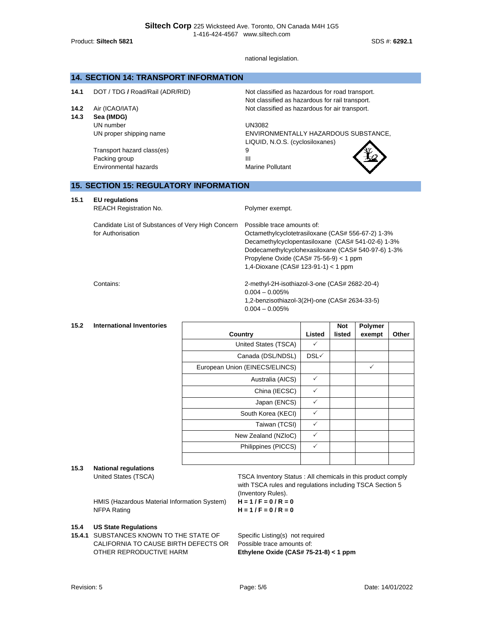Product: **Siltech 5821** SDS #: **6292.1**

#### national legislation.

# **14. SECTION 14: TRANSPORT INFORMATION**

**14.1** DOT / TDG / Road/Rail (ADR/RID) Not classified as hazardous for road transport.

**14.3 Sea (IMDG)** UN number UN proper shipping name

> Transport hazard class(es) Packing group Environmental hazards

Not classified as hazardous for rail transport. **14.2** Air (ICAO/IATA) Not classified as hazardous for air transport.

> UN3082 ENVIRONMENTALLY HAZARDOUS SUBSTANCE, LIQUID, N.O.S. (cyclosiloxanes)

III Marine Pollutant

9



# **15. SECTION 15: REGULATORY INFORMATION**

#### **15.1 EU regulations**

| REACH Registration No. |  |
|------------------------|--|

Candidate List of Substances of Very High Concern

for Authorisation

Polymer exempt.

 $0.004 - 0.005%$ 

 $0.004 - 0.005%$ 

Possible trace amounts of: Octamethylcyclotetrasiloxane (CAS# 556-67-2) 1-3% Decamethylcyclopentasiloxane (CAS# 541-02-6) 1-3% Dodecamethylcyclohexasiloxane (CAS# 540-97-6) 1-3% Propylene Oxide (CAS# 75-56-9) < 1 ppm 1,4-Dioxane (CAS# 123-91-1) < 1 ppm

1,2-benzisothiazol-3(2H)-one (CAS# 2634-33-5)

Contains: 2-methyl-2H-isothiazol-3-one (CAS# 2682-20-4)

### **15.2 International Inventories**

|                                |        | <b>Not</b> | <b>Polymer</b> |       |
|--------------------------------|--------|------------|----------------|-------|
| Country                        | Listed | listed     | exempt         | Other |
| United States (TSCA)           | ✓      |            |                |       |
| Canada (DSL/NDSL)              | DSL√   |            |                |       |
| European Union (EINECS/ELINCS) |        |            | ✓              |       |
| Australia (AICS)               | ✓      |            |                |       |
| China (IECSC)                  | ✓      |            |                |       |
| Japan (ENCS)                   | ✓      |            |                |       |
| South Korea (KECI)             | ✓      |            |                |       |
| Taiwan (TCSI)                  | ✓      |            |                |       |
| New Zealand (NZIoC)            | ✓      |            |                |       |
| Philippines (PICCS)            | ✓      |            |                |       |
|                                |        |            |                |       |

# **15.3 National regulations**

HMIS (Hazardous Material Information System) **H = 1 / F = 0 / R = 0** NFPA Rating **H = 1 / F = 0 / R = 0**

#### **15.4 US State Regulations**

**15.4.1** SUBSTANCES KNOWN TO THE STATE OF CALIFORNIA TO CAUSE BIRTH DEFECTS OR OTHER REPRODUCTIVE HARM

United States (TSCA) TSCA Inventory Status : All chemicals in this product comply with TSCA rules and regulations including TSCA Section 5 (Inventory Rules).

Specific Listing(s) not required Possible trace amounts of: **Ethylene Oxide (CAS# 75-21-8) < 1 ppm**